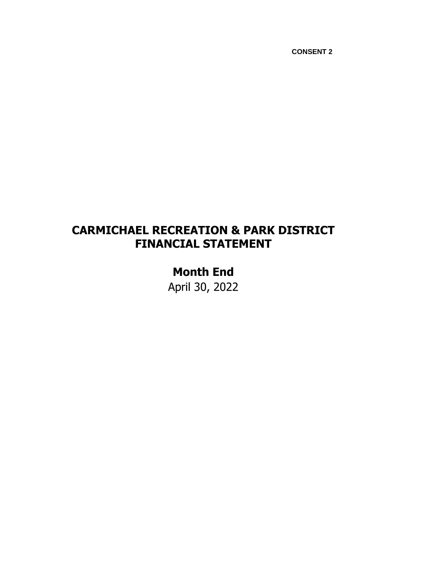# **CARMICHAEL RECREATION & PARK DISTRICT FINANCIAL STATEMENT**

**Month End** April 30, 2022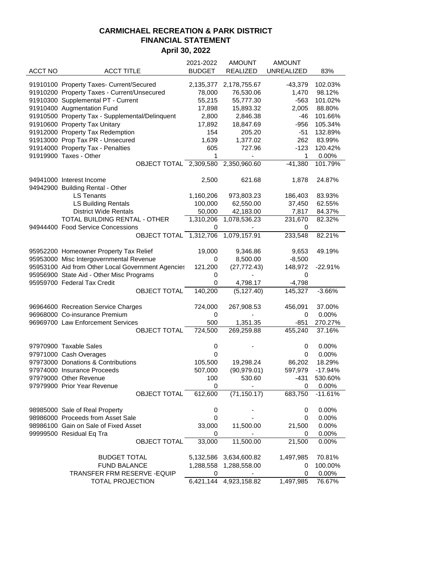|                |                                                                  | 2021-2022     | <b>AMOUNT</b>                | <b>AMOUNT</b>     |           |
|----------------|------------------------------------------------------------------|---------------|------------------------------|-------------------|-----------|
| <b>ACCT NO</b> | <b>ACCT TITLE</b>                                                | <b>BUDGET</b> | <b>REALIZED</b>              | <b>UNREALIZED</b> | 83%       |
|                |                                                                  |               |                              |                   |           |
|                | 91910100 Property Taxes- Current/Secured                         | 2,135,377     | 2,178,755.67                 | $-43,379$         | 102.03%   |
|                | 91910200 Property Taxes - Current/Unsecured                      | 78,000        | 76,530.06                    | 1,470             | 98.12%    |
|                | 91910300 Supplemental PT - Current<br>91910400 Augmentation Fund | 55,215        | 55,777.30                    | $-563$            | 101.02%   |
|                |                                                                  | 17,898        | 15,893.32                    | 2,005             | 88.80%    |
|                | 91910500 Property Tax - Supplemental/Delinquent                  | 2,800         | 2,846.38                     | -46               | 101.66%   |
|                | 91910600 Property Tax Unitary                                    | 17,892        | 18,847.69<br>205.20          | $-956$            | 105.34%   |
|                | 91912000 Property Tax Redemption                                 | 154           |                              | $-51$             | 132.89%   |
|                | 91913000 Prop Tax PR - Unsecured                                 | 1,639         | 1,377.02                     | 262               | 83.99%    |
|                | 91914000 Property Tax - Penalties                                | 605           | 727.96                       | $-123$            | 120.42%   |
|                | 91919900 Taxes - Other                                           | 1             | $\qquad \qquad \blacksquare$ | 1                 | 0.00%     |
|                | OBJECT TOTAL 2,309,580                                           |               | 2,350,960.60                 | $-41,380$         | 101.79%   |
|                | 94941000 Interest Income                                         |               |                              |                   | 24.87%    |
|                | 94942900 Building Rental - Other                                 | 2,500         | 621.68                       | 1,878             |           |
|                | <b>LS Tenants</b>                                                | 1,160,206     | 973,803.23                   | 186,403           | 83.93%    |
|                | <b>LS Building Rentals</b>                                       | 100,000       | 62,550.00                    | 37,450            | 62.55%    |
|                | <b>District Wide Rentals</b>                                     |               |                              |                   | 84.37%    |
|                |                                                                  | 50,000        | 42,183.00<br>1,078,536.23    | 7,817             |           |
|                | TOTAL BUILDING RENTAL - OTHER                                    | 1,310,206     |                              | 231,670           | 82.32%    |
|                | 94944400 Food Service Concessions<br>OBJECT TOTAL 1,312,706      | 0             | 1,079,157.91                 | 0                 | 82.21%    |
|                |                                                                  |               |                              | 233,548           |           |
|                | 95952200 Homeowner Property Tax Relief                           | 19,000        | 9,346.86                     | 9,653             | 49.19%    |
|                | 95953000 Misc Intergovernmental Revenue                          | 0             | 8,500.00                     | $-8,500$          |           |
|                | 95953100 Aid from Other Local Government Agencies                | 121,200       | (27, 772.43)                 | 148,972           | $-22.91%$ |
|                | 95956900 State Aid - Other Misc Programs                         | 0             |                              | 0                 |           |
|                | 95959700 Federal Tax Credit                                      | 0             | 4,798.17                     | $-4,798$          |           |
|                | <b>OBJECT TOTAL</b>                                              | 140,200       | (5, 127.40)                  | 145,327           | $-3.66%$  |
|                |                                                                  |               |                              |                   |           |
|                | 96964600 Recreation Service Charges                              | 724,000       | 267,908.53                   | 456,091           | 37.00%    |
|                | 96968000 Co-insurance Premium                                    | 0             |                              | 0                 | 0.00%     |
|                | 96969700 Law Enforcement Services                                | 500           | 1,351.35                     | $-851$            | 270.27%   |
|                | <b>OBJECT TOTAL</b>                                              | 724,500       | 269,259.88                   | 455,240           | 37.16%    |
|                |                                                                  |               |                              |                   |           |
|                | 97970900 Taxable Sales                                           | 0             |                              | 0                 | 0.00%     |
|                | 97971000 Cash Overages                                           | 0             |                              | 0                 | 0.00%     |
|                | 97973000 Donations & Contributions                               | 105,500       | 19,298.24                    | 86,202            | 18.29%    |
|                | 97974000 Insurance Proceeds                                      | 507,000       | (90, 979.01)                 | 597,979           | $-17.94%$ |
|                | 97979000 Other Revenue                                           | 100           | 530.60                       | -431              | 530.60%   |
|                | 97979900 Prior Year Revenue                                      | 0             |                              | 0                 | 0.00%     |
|                | OBJECT TOTAL                                                     | 612,600       | (71, 150.17)                 | 683,750           | $-11.61%$ |
|                |                                                                  |               |                              |                   |           |
|                | 98985000 Sale of Real Property                                   | 0             |                              | 0                 | 0.00%     |
|                | 98986000 Proceeds from Asset Sale                                | 0             |                              | 0                 | 0.00%     |
|                | 98986100 Gain on Sale of Fixed Asset                             | 33,000        | 11,500.00                    | 21,500            | 0.00%     |
|                | 99999500 Residual Eq Tra                                         | 0             |                              | 0                 | 0.00%     |
|                | <b>OBJECT TOTAL</b>                                              | 33,000        | 11,500.00                    | 21,500            | 0.00%     |
|                |                                                                  |               |                              |                   |           |
|                | <b>BUDGET TOTAL</b>                                              |               | 5,132,586 3,634,600.82       | 1,497,985         | 70.81%    |
|                | <b>FUND BALANCE</b>                                              | 1,288,558     | 1,288,558.00                 | 0                 | 100.00%   |
|                | TRANSFER FRM RESERVE - EQUIP                                     | 0             |                              | 0                 | 0.00%     |
|                | <b>TOTAL PROJECTION</b>                                          |               | 6,421,144 4,923,158.82       | 1,497,985         | 76.67%    |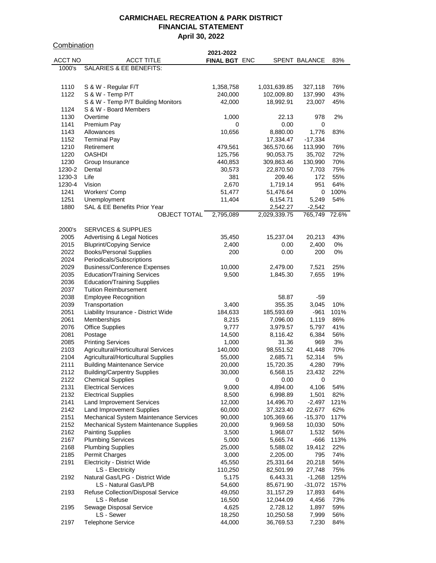**Combination** 

|         |                                        | 2021-2022            |              |                      |       |
|---------|----------------------------------------|----------------------|--------------|----------------------|-------|
| ACCT NO | <b>ACCT TITLE</b>                      | <b>FINAL BGT ENC</b> |              | <b>SPENT BALANCE</b> | 83%   |
| 1000's  | SALARIES & EE BENEFITS:                |                      |              |                      |       |
|         |                                        |                      |              |                      |       |
|         |                                        |                      |              |                      |       |
| 1110    | S & W - Regular F/T                    | 1,358,758            | 1,031,639.85 | 327,118              | 76%   |
| 1122    | S & W - Temp P/T                       | 240,000              | 102,009.80   | 137,990              | 43%   |
|         | S & W - Temp P/T Building Monitors     | 42,000               | 18,992.91    | 23,007               | 45%   |
|         |                                        |                      |              |                      |       |
| 1124    | S & W - Board Members                  |                      |              |                      |       |
| 1130    | Overtime                               | 1,000                | 22.13        | 978                  | 2%    |
| 1141    | Premium Pay                            | 0                    | 0.00         | 0                    |       |
| 1143    | Allowances                             | 10,656               | 8,880.00     | 1,776                | 83%   |
| 1152    | <b>Terminal Pay</b>                    |                      | 17,334.47    | $-17,334$            |       |
| 1210    | Retirement                             | 479,561              | 365,570.66   | 113,990              | 76%   |
| 1220    | <b>OASHDI</b>                          | 125,756              |              |                      | 72%   |
|         |                                        |                      | 90,053.75    | 35,702               |       |
| 1230    | Group Insurance                        | 440,853              | 309,863.46   | 130,990              | 70%   |
| 1230-2  | Dental                                 | 30,573               | 22,870.50    | 7,703                | 75%   |
| 1230-3  | Life                                   | 381                  | 209.46       | 172                  | 55%   |
| 1230-4  | Vision                                 | 2,670                | 1,719.14     | 951                  | 64%   |
| 1241    | Workers' Comp                          | 51,477               | 51,476.64    | 0                    | 100%  |
| 1251    | Unemployment                           | 11,404               | 6,154.71     | 5,249                | 54%   |
| 1880    | SAL & EE Benefits Prior Year           |                      |              | $-2,542$             |       |
|         |                                        |                      | 2,542.27     |                      |       |
|         | <b>OBJECT TOTAL</b>                    | 2,795,089            | 2,029,339.75 | 765,749 72.6%        |       |
|         |                                        |                      |              |                      |       |
| 2000's  | <b>SERVICES &amp; SUPPLIES</b>         |                      |              |                      |       |
| 2005    | <b>Advertising &amp; Legal Notices</b> | 35,450               | 15,237.04    | 20,213               | 43%   |
| 2015    | <b>Bluprint/Copying Service</b>        | 2,400                | 0.00         | 2,400                | 0%    |
| 2022    | <b>Books/Personal Supplies</b>         | 200                  | 0.00         | 200                  | $0\%$ |
| 2024    |                                        |                      |              |                      |       |
|         | Periodicals/Subscriptions              |                      |              |                      |       |
| 2029    | <b>Business/Conference Expenses</b>    | 10,000               | 2,479.00     | 7,521                | 25%   |
| 2035    | <b>Education/Training Services</b>     | 9,500                | 1,845.30     | 7,655                | 19%   |
| 2036    | <b>Education/Training Supplies</b>     |                      |              |                      |       |
| 2037    | <b>Tuition Reimbursement</b>           |                      |              |                      |       |
| 2038    | <b>Employee Recognition</b>            |                      | 58.87        | -59                  |       |
| 2039    | Transportation                         | 3,400                | 355.35       | 3,045                | 10%   |
| 2051    |                                        | 184,633              | 185,593.69   | $-961$               | 101%  |
|         | Liability Insurance - District Wide    |                      |              |                      |       |
| 2061    | Memberships                            | 8,215                | 7,096.00     | 1,119                | 86%   |
| 2076    | <b>Office Supplies</b>                 | 9,777                | 3,979.57     | 5,797                | 41%   |
| 2081    | Postage                                | 14,500               | 8,116.42     | 6,384                | 56%   |
| 2085    | <b>Printing Services</b>               | 1,000                | 31.36        | 969                  | 3%    |
| 2103    | Agricultural/Horticultural Services    | 140,000              | 98,551.52    | 41,448               | 70%   |
| 2104    | Agricultural/Horticultural Supplies    | 55,000               | 2,685.71     | 52,314               | 5%    |
| 2111    | <b>Building Maintenance Service</b>    |                      |              |                      | 79%   |
|         |                                        | 20,000               | 15,720.35    | 4,280                |       |
| 2112    | <b>Building/Carpentry Supplies</b>     | 30,000               | 6,568.15     | 23,432               | 22%   |
| 2122    | <b>Chemical Supplies</b>               | 0                    | 0.00         | 0                    |       |
| 2131    | <b>Electrical Services</b>             | 9,000                | 4,894.00     | 4,106                | 54%   |
| 2132    | <b>Electrical Supplies</b>             | 8,500                | 6,998.89     | 1,501                | 82%   |
| 2141    | <b>Land Improvement Services</b>       | 12,000               | 14,496.70    | $-2,497$             | 121%  |
| 2142    | Land Improvement Supplies              | 60,000               | 37,323.40    | 22,677               | 62%   |
| 2151    | Mechanical System Maintenance Services | 90,000               |              | $-15,370$            | 117%  |
|         |                                        |                      | 105,369.66   |                      |       |
| 2152    | Mechanical System Maintenance Supplies | 20,000               | 9,969.58     | 10,030               | 50%   |
| 2162    | <b>Painting Supplies</b>               | 3,500                | 1,968.07     | 1,532                | 56%   |
| 2167    | <b>Plumbing Services</b>               | 5,000                | 5,665.74     | -666                 | 113%  |
| 2168    | <b>Plumbing Supplies</b>               | 25,000               | 5,588.02     | 19,412               | 22%   |
| 2185    | <b>Permit Charges</b>                  | 3,000                | 2,205.00     | 795                  | 74%   |
| 2191    | Electricity - District Wide            | 45,550               | 25,331.64    | 20,218               | 56%   |
|         |                                        |                      |              |                      |       |
|         | LS - Electricity                       | 110,250              | 82,501.99    | 27,748               | 75%   |
| 2192    | Natural Gas/LPG - District Wide        | 5,175                | 6,443.31     | $-1,268$             | 125%  |
|         | LS - Natural Gas/LPB                   | 54,600               | 85,671.90    | $-31,072$            | 157%  |
| 2193    | Refuse Collection/Disposal Service     | 49,050               | 31,157.29    | 17,893               | 64%   |
|         | LS - Refuse                            | 16,500               | 12,044.09    | 4,456                | 73%   |
| 2195    | Sewage Disposal Service                | 4,625                | 2,728.12     | 1,897                | 59%   |
|         | LS - Sewer                             | 18,250               | 10,250.58    | 7,999                | 56%   |
| 2197    | <b>Telephone Service</b>               |                      |              |                      |       |
|         |                                        | 44,000               | 36,769.53    | 7,230                | 84%   |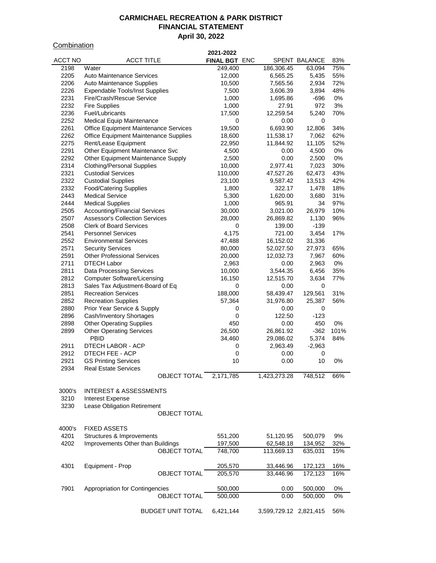#### **Combination**

| <u>ununanun </u> |                                                               | 2021-2022        |                        |                 |             |
|------------------|---------------------------------------------------------------|------------------|------------------------|-----------------|-------------|
| ACCT NO          | <b>ACCT TITLE</b>                                             | FINAL BGT ENC    |                        | SPENT BALANCE   | 83%         |
| 2198             | Water                                                         | 249,400          | 186,306.45             | 63,094          | 75%         |
| 2205             | <b>Auto Maintenance Services</b>                              | 12,000           | 6,565.25               | 5,435           | 55%         |
| 2206             | Auto Maintenance Supplies                                     | 10,500           | 7,565.56               | 2,934           | 72%         |
| 2226             | <b>Expendable Tools/Inst Supplies</b>                         | 7,500            | 3,606.39               | 3,894           | 48%         |
| 2231             | Fire/Crash/Rescue Service                                     | 1,000            | 1,695.86               | $-696$          | 0%          |
| 2232             | <b>Fire Supplies</b>                                          | 1,000            | 27.91                  | 972             | 3%          |
| 2236             | Fuel/Lubricants                                               | 17,500           | 12,259.54              | 5,240           | 70%         |
| 2252             | <b>Medical Equip Maintenance</b>                              | 0                | 0.00                   | 0               |             |
| 2261<br>2262     | Office Equipment Maintenance Services                         | 19,500           | 6,693.90               | 12,806          | 34%<br>62%  |
| 2275             | Office Equipment Maintenance Supplies<br>Rent/Lease Equipment | 18,600<br>22,950 | 11,538.17<br>11,844.92 | 7,062<br>11,105 | 52%         |
| 2291             | Other Equipment Maintenance Svc                               | 4,500            | 0.00                   | 4,500           | 0%          |
| 2292             | Other Equipment Maintenance Supply                            | 2,500            | 0.00                   | 2,500           | 0%          |
| 2314             | <b>Clothing/Personal Supplies</b>                             | 10,000           | 2,977.41               | 7,023           | 30%         |
| 2321             | <b>Custodial Services</b>                                     | 110,000          | 47,527.26              | 62,473          | 43%         |
| 2322             | <b>Custodial Supplies</b>                                     | 23,100           | 9,587.42               | 13,513          | 42%         |
| 2332             | <b>Food/Catering Supplies</b>                                 | 1,800            | 322.17                 | 1,478           | 18%         |
| 2443             | <b>Medical Service</b>                                        | 5,300            | 1,620.00               | 3,680           | 31%         |
| 2444             | <b>Medical Supplies</b>                                       | 1,000            | 965.91                 | 34              | 97%         |
| 2505             | <b>Accounting/Financial Services</b>                          | 30,000           | 3,021.00               | 26,979          | 10%         |
| 2507             | <b>Assessor's Collection Services</b>                         | 28,000           | 26,869.82              | 1,130           | 96%         |
| 2508             | <b>Clerk of Board Services</b>                                | 0                | 139.00                 | $-139$          |             |
| 2541             | <b>Personnel Services</b>                                     | 4,175            | 721.00                 | 3,454           | 17%         |
| 2552             | <b>Environmental Services</b>                                 | 47,488           | 16,152.02              | 31,336          |             |
| 2571             | <b>Security Services</b>                                      | 80,000           | 52,027.50              | 27,973          | 65%         |
| 2591             | <b>Other Professional Services</b>                            | 20,000           | 12,032.73              | 7,967           | 60%         |
| 2711             | <b>DTECH Labor</b>                                            | 2,963            | 0.00                   | 2,963           | $0\%$       |
| 2811             | <b>Data Processing Services</b>                               | 10,000           | 3,544.35               | 6,456           | 35%         |
| 2812             | <b>Computer Software/Licensing</b>                            | 16,150           | 12,515.70              | 3,634           | 77%         |
| 2813             | Sales Tax Adjustment-Board of Eq                              | 0                | 0.00                   | 0               |             |
| 2851             | <b>Recreation Services</b>                                    | 188,000          | 58,439.47              | 129,561         | 31%         |
| 2852             | <b>Recreation Supplies</b>                                    | 57,364           | 31,976.80              | 25,387          | 56%         |
| 2880             | Prior Year Service & Supply                                   | 0                | 0.00                   | 0               |             |
| 2896             | Cash/Inventory Shortages                                      | 0                | 122.50                 | $-123$          |             |
| 2898             | <b>Other Operating Supplies</b>                               | 450              | 0.00                   | 450             | 0%          |
| 2899             | <b>Other Operating Services</b><br><b>PBID</b>                | 26,500           | 26,861.92              | $-362$          | 101%<br>84% |
| 2911             | DTECH LABOR - ACP                                             | 34,460<br>0      | 29,086.02<br>2,963.49  | 5,374           |             |
| 2912             | DTECH FEE - ACP                                               | 0                | 0.00                   | $-2,963$<br>0   |             |
| 2921             | <b>GS Printing Services</b>                                   | 10               | 0.00                   | 10              | 0%          |
| 2934             | <b>Real Estate Services</b>                                   |                  |                        |                 |             |
|                  | OBJECT TOTAL                                                  | 2,171,785        | 1,423,273.28           | 748,512         | 66%         |
|                  |                                                               |                  |                        |                 |             |
| 3000's           | <b>INTEREST &amp; ASSESSMENTS</b>                             |                  |                        |                 |             |
| 3210             | Interest Expense                                              |                  |                        |                 |             |
| 3230             | Lease Obligation Retirement                                   |                  |                        |                 |             |
|                  | <b>OBJECT TOTAL</b>                                           |                  |                        |                 |             |
|                  |                                                               |                  |                        |                 |             |
| 4000's           | <b>FIXED ASSETS</b>                                           |                  |                        |                 |             |
| 4201             | Structures & Improvements                                     | 551,200          | 51,120.95              | 500,079         | 9%          |
| 4202             | Improvements Other than Buildings                             | 197,500          | 62,548.18              | 134,952         | 32%         |
|                  | <b>OBJECT TOTAL</b>                                           | 748,700          | 113,669.13             | 635,031         | 15%         |
|                  |                                                               |                  |                        |                 |             |
| 4301             | Equipment - Prop                                              | 205,570          | 33,446.96              | 172,123         | 16%         |
|                  | <b>OBJECT TOTAL</b>                                           | 205,570          | 33,446.96              | 172,123         | 16%         |
|                  |                                                               |                  |                        |                 |             |
| 7901             | Appropriation for Contingencies                               | 500,000          | 0.00                   | 500,000         | $0\%$       |
|                  | <b>OBJECT TOTAL</b>                                           | 500,000          | 0.00                   | 500,000         | 0%          |
|                  | <b>BUDGET UNIT TOTAL</b>                                      | 6,421,144        | 3,599,729.12 2,821,415 |                 | 56%         |
|                  |                                                               |                  |                        |                 |             |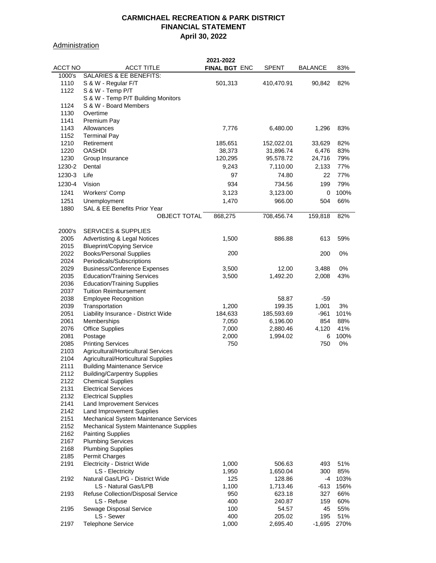**Administration** 

|                |                                         | 2021-2022     |              |          |      |
|----------------|-----------------------------------------|---------------|--------------|----------|------|
| <b>ACCT NO</b> | <b>ACCT TITLE</b>                       | FINAL BGT ENC | <b>SPENT</b> | BALANCE  | 83%  |
| 1000's         | SALARIES & EE BENEFITS:                 |               |              |          |      |
| 1110           | S & W - Regular F/T                     | 501,313       | 410,470.91   | 90,842   | 82%  |
| 1122           | S & W - Temp P/T                        |               |              |          |      |
|                | S & W - Temp P/T Building Monitors      |               |              |          |      |
| 1124           | S & W - Board Members                   |               |              |          |      |
| 1130           | Overtime                                |               |              |          |      |
| 1141           | Premium Pay                             |               |              |          |      |
| 1143           | Allowances                              | 7,776         | 6,480.00     | 1,296    | 83%  |
| 1152           | <b>Terminal Pay</b>                     |               |              |          |      |
| 1210           | Retirement                              | 185,651       | 152,022.01   | 33,629   | 82%  |
| 1220           | <b>OASHDI</b>                           | 38,373        | 31,896.74    | 6,476    | 83%  |
| 1230           | Group Insurance                         | 120,295       | 95,578.72    | 24,716   | 79%  |
|                |                                         |               |              |          |      |
| 1230-2         | Dental                                  | 9,243         | 7,110.00     | 2,133    | 77%  |
| 1230-3         | Life                                    | 97            | 74.80        | 22       | 77%  |
| 1230-4         | Vision                                  | 934           | 734.56       | 199      | 79%  |
| 1241           | Workers' Comp                           | 3,123         | 3,123.00     | 0        | 100% |
| 1251           | Unemployment                            | 1,470         | 966.00       | 504      | 66%  |
| 1880           | SAL & EE Benefits Prior Year            |               |              |          |      |
|                | <b>OBJECT TOTAL</b>                     | 868,275       | 708,456.74   | 159,818  | 82%  |
|                |                                         |               |              |          |      |
| 2000's         | <b>SERVICES &amp; SUPPLIES</b>          |               |              |          |      |
| 2005           | <b>Advertisting &amp; Legal Notices</b> | 1,500         | 886.88       | 613      | 59%  |
| 2015           | <b>Blueprint/Copying Service</b>        |               |              |          |      |
| 2022           | <b>Books/Personal Supplies</b>          | 200           |              | 200      | 0%   |
| 2024           | Periodicals/Subscriptions               |               |              |          |      |
| 2029           | <b>Business/Conference Expenses</b>     | 3,500         | 12.00        | 3,488    | 0%   |
| 2035           |                                         |               | 1,492.20     | 2,008    | 43%  |
| 2036           | <b>Education/Training Services</b>      | 3,500         |              |          |      |
|                | <b>Education/Training Supplies</b>      |               |              |          |      |
| 2037           | <b>Tuition Reimbursement</b>            |               |              |          |      |
| 2038           | <b>Employee Recognition</b>             |               | 58.87        | -59      |      |
| 2039           | Transportation                          | 1,200         | 199.35       | 1,001    | 3%   |
| 2051           | Liability Insurance - District Wide     | 184,633       | 185,593.69   | $-961$   | 101% |
| 2061           | Memberships                             | 7,050         | 6,196.00     | 854      | 88%  |
| 2076           | <b>Office Supplies</b>                  | 7,000         | 2,880.46     | 4,120    | 41%  |
| 2081           | Postage                                 | 2,000         | 1,994.02     | 6        | 100% |
| 2085           | <b>Printing Services</b>                | 750           |              | 750      | 0%   |
| 2103           | Agricultural/Horticultural Services     |               |              |          |      |
| 2104           | Agricultural/Horticultural Supplies     |               |              |          |      |
| 2111           | <b>Building Maintenance Service</b>     |               |              |          |      |
| 2112           | <b>Building/Carpentry Supplies</b>      |               |              |          |      |
| 2122           | <b>Chemical Supplies</b>                |               |              |          |      |
| 2131           | <b>Electrical Services</b>              |               |              |          |      |
| 2132           | <b>Electrical Supplies</b>              |               |              |          |      |
| 2141           | <b>Land Improvement Services</b>        |               |              |          |      |
| 2142           | <b>Land Improvement Supplies</b>        |               |              |          |      |
| 2151           | Mechanical System Maintenance Services  |               |              |          |      |
| 2152           | Mechanical System Maintenance Supplies  |               |              |          |      |
| 2162           | <b>Painting Supplies</b>                |               |              |          |      |
| 2167           | <b>Plumbing Services</b>                |               |              |          |      |
| 2168           | <b>Plumbing Supplies</b>                |               |              |          |      |
| 2185           | <b>Permit Charges</b>                   |               |              |          |      |
| 2191           | <b>Electricity - District Wide</b>      | 1,000         | 506.63       | 493      | 51%  |
|                | LS - Electricity                        | 1,950         | 1,650.04     | 300      | 85%  |
| 2192           | Natural Gas/LPG - District Wide         | 125           | 128.86       | -4       | 103% |
|                | LS - Natural Gas/LPB                    | 1,100         | 1,713.46     | $-613$   | 156% |
| 2193           | Refuse Collection/Disposal Service      | 950           | 623.18       | 327      | 66%  |
|                | LS - Refuse                             | 400           | 240.87       | 159      | 60%  |
| 2195           | Sewage Disposal Service                 | 100           | 54.57        | 45       | 55%  |
|                | LS - Sewer                              | 400           | 205.02       | 195      | 51%  |
| 2197           | <b>Telephone Service</b>                | 1,000         | 2,695.40     | $-1,695$ | 270% |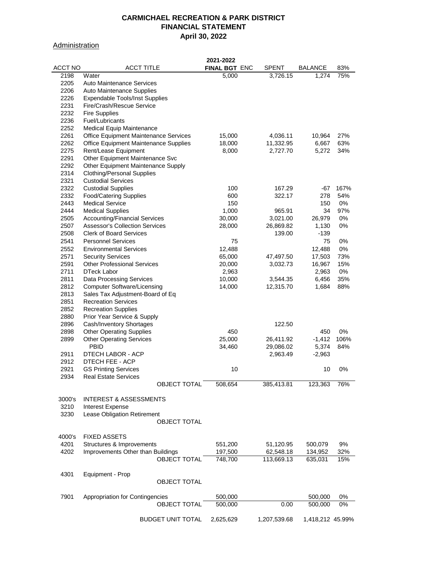## **Administration**

|         |                                       | 2021-2022            |              |                  |      |
|---------|---------------------------------------|----------------------|--------------|------------------|------|
| ACCT NO | <b>ACCT TITLE</b>                     | <b>FINAL BGT ENC</b> | SPENT        | <b>BALANCE</b>   | 83%  |
| 2198    | Water                                 | 5,000                | 3,726.15     | 1,274            | 75%  |
| 2205    | Auto Maintenance Services             |                      |              |                  |      |
|         |                                       |                      |              |                  |      |
| 2206    | Auto Maintenance Supplies             |                      |              |                  |      |
| 2226    | <b>Expendable Tools/Inst Supplies</b> |                      |              |                  |      |
| 2231    | Fire/Crash/Rescue Service             |                      |              |                  |      |
| 2232    | <b>Fire Supplies</b>                  |                      |              |                  |      |
| 2236    | Fuel/Lubricants                       |                      |              |                  |      |
| 2252    | Medical Equip Maintenance             |                      |              |                  |      |
| 2261    | Office Equipment Maintenance Services | 15,000               | 4,036.11     | 10,964           | 27%  |
| 2262    |                                       |                      |              |                  |      |
|         | Office Equipment Maintenance Supplies | 18,000               | 11,332.95    | 6,667            | 63%  |
| 2275    | Rent/Lease Equipment                  | 8,000                | 2,727.70     | 5,272            | 34%  |
| 2291    | Other Equipment Maintenance Svc       |                      |              |                  |      |
| 2292    | Other Equipment Maintenance Supply    |                      |              |                  |      |
| 2314    | <b>Clothing/Personal Supplies</b>     |                      |              |                  |      |
| 2321    | <b>Custodial Services</b>             |                      |              |                  |      |
| 2322    | <b>Custodial Supplies</b>             | 100                  | 167.29       | -67              | 167% |
| 2332    | <b>Food/Catering Supplies</b>         | 600                  | 322.17       | 278              | 54%  |
| 2443    | <b>Medical Service</b>                | 150                  |              | 150              | 0%   |
|         |                                       |                      |              |                  |      |
| 2444    | <b>Medical Supplies</b>               | 1,000                | 965.91       | 34               | 97%  |
| 2505    | <b>Accounting/Financial Services</b>  | 30,000               | 3,021.00     | 26,979           | 0%   |
| 2507    | <b>Assessor's Collection Services</b> | 28,000               | 26,869.82    | 1,130            | 0%   |
| 2508    | <b>Clerk of Board Services</b>        |                      | 139.00       | -139             |      |
| 2541    | <b>Personnel Services</b>             | 75                   |              | 75               | 0%   |
| 2552    | <b>Environmental Services</b>         | 12,488               |              | 12,488           | 0%   |
| 2571    | <b>Security Services</b>              | 65,000               | 47,497.50    | 17,503           | 73%  |
| 2591    |                                       |                      |              |                  |      |
|         | <b>Other Professional Services</b>    | 20,000               | 3,032.73     | 16,967           | 15%  |
| 2711    | <b>DTeck Labor</b>                    | 2,963                |              | 2,963            | 0%   |
| 2811    | <b>Data Processing Services</b>       | 10,000               | 3,544.35     | 6,456            | 35%  |
| 2812    | <b>Computer Software/Licensing</b>    | 14,000               | 12,315.70    | 1,684            | 88%  |
| 2813    | Sales Tax Adjustment-Board of Eq      |                      |              |                  |      |
| 2851    | <b>Recreation Services</b>            |                      |              |                  |      |
| 2852    | <b>Recreation Supplies</b>            |                      |              |                  |      |
| 2880    | Prior Year Service & Supply           |                      |              |                  |      |
| 2896    | Cash/Inventory Shortages              |                      | 122.50       |                  |      |
|         |                                       |                      |              |                  | 0%   |
| 2898    | <b>Other Operating Supplies</b>       | 450                  |              | 450              |      |
| 2899    | <b>Other Operating Services</b>       | 25,000               | 26,411.92    | $-1,412$         | 106% |
|         | <b>PBID</b>                           | 34,460               | 29,086.02    | 5,374            | 84%  |
| 2911    | DTECH LABOR - ACP                     |                      | 2,963.49     | $-2,963$         |      |
| 2912    | DTECH FEE - ACP                       |                      |              |                  |      |
| 2921    | <b>GS Printing Services</b>           | 10                   |              | 10               | 0%   |
| 2934    | Real Estate Services                  |                      |              |                  |      |
|         | OBJECT TOTAL                          | 508,654              | 385,413.81   | 123,363          | 76%  |
|         |                                       |                      |              |                  |      |
| 3000's  | <b>INTEREST &amp; ASSESSMENTS</b>     |                      |              |                  |      |
| 3210    | <b>Interest Expense</b>               |                      |              |                  |      |
| 3230    | Lease Obligation Retirement           |                      |              |                  |      |
|         |                                       |                      |              |                  |      |
|         | OBJECT TOTAL                          |                      |              |                  |      |
|         |                                       |                      |              |                  |      |
| 4000's  | <b>FIXED ASSETS</b>                   |                      |              |                  |      |
| 4201    | Structures & Improvements             | 551,200              | 51,120.95    | 500,079          | 9%   |
| 4202    | Improvements Other than Buildings     | 197,500              | 62,548.18    | 134,952          | 32%  |
|         | <b>OBJECT TOTAL</b>                   | 748,700              | 113,669.13   | 635,031          | 15%  |
|         |                                       |                      |              |                  |      |
| 4301    | Equipment - Prop                      |                      |              |                  |      |
|         | <b>OBJECT TOTAL</b>                   |                      |              |                  |      |
|         |                                       |                      |              |                  |      |
| 7901    |                                       |                      |              |                  |      |
|         | Appropriation for Contingencies       | 500,000              |              | 500,000          | 0%   |
|         | <b>OBJECT TOTAL</b>                   | 500,000              | 0.00         | 500,000          | 0%   |
|         |                                       |                      |              |                  |      |
|         | <b>BUDGET UNIT TOTAL</b>              | 2,625,629            | 1,207,539.68 | 1,418,212 45.99% |      |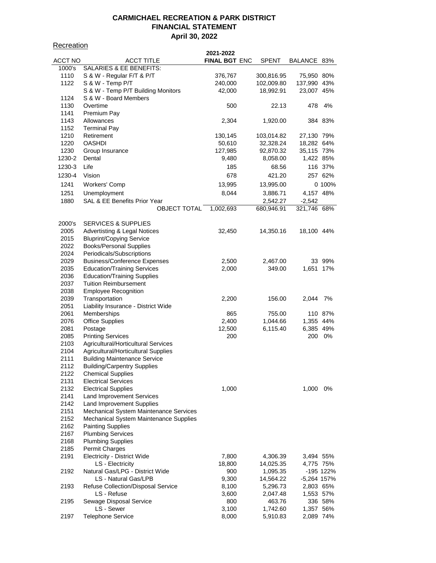## **Recreation**

|         |                                         | 2021-2022            |              |               |           |
|---------|-----------------------------------------|----------------------|--------------|---------------|-----------|
| ACCT NO | <b>ACCT TITLE</b>                       | <b>FINAL BGT ENC</b> | <b>SPENT</b> | BALANCE 83%   |           |
| 1000's  | SALARIES & EE BENEFITS:                 |                      |              |               |           |
| 1110    | S & W - Regular F/T & P/T               | 376,767              | 300,816.95   | 75,950 80%    |           |
| 1122    | S & W - Temp P/T                        | 240,000              | 102,009.80   | 137,990 43%   |           |
|         | S & W - Temp P/T Building Monitors      | 42,000               | 18,992.91    | 23,007 45%    |           |
| 1124    | S & W - Board Members                   |                      |              |               |           |
| 1130    | Overtime                                | 500                  | 22.13        | 478           | 4%        |
|         |                                         |                      |              |               |           |
| 1141    | Premium Pay                             |                      |              |               |           |
| 1143    | Allowances                              | 2,304                | 1,920.00     |               | 384 83%   |
| 1152    | <b>Terminal Pay</b>                     |                      |              |               |           |
| 1210    | Retirement                              | 130,145              | 103,014.82   | 27,130 79%    |           |
| 1220    | <b>OASHDI</b>                           | 50,610               | 32,328.24    | 18,282 64%    |           |
| 1230    | Group Insurance                         | 127,985              | 92,870.32    | 35,115 73%    |           |
| 1230-2  | Dental                                  | 9,480                | 8,058.00     | 1,422 85%     |           |
| 1230-3  | Life                                    | 185                  | 68.56        |               | 116 37%   |
| 1230-4  | Vision                                  | 678                  | 421.20       |               | 257 62%   |
|         |                                         |                      |              |               |           |
| 1241    | Workers' Comp                           | 13,995               | 13,995.00    |               | 0 100%    |
| 1251    | Unemployment                            | 8,044                | 3,886.71     | 4,157 48%     |           |
| 1880    | SAL & EE Benefits Prior Year            |                      | 2,542.27     | $-2,542$      |           |
|         | <b>OBJECT TOTAL</b>                     | 1,002,693            | 680,946.91   | 321,746 68%   |           |
|         |                                         |                      |              |               |           |
| 2000's  | <b>SERVICES &amp; SUPPLIES</b>          |                      |              |               |           |
| 2005    | <b>Advertisting &amp; Legal Notices</b> | 32,450               | 14,350.16    | 18,100 44%    |           |
| 2015    | <b>Bluprint/Copying Service</b>         |                      |              |               |           |
|         |                                         |                      |              |               |           |
| 2022    | <b>Books/Personal Supplies</b>          |                      |              |               |           |
| 2024    | Periodicals/Subscriptions               |                      |              |               |           |
| 2029    | <b>Business/Conference Expenses</b>     | 2,500                | 2,467.00     |               | 33 99%    |
| 2035    | <b>Education/Training Services</b>      | 2,000                | 349.00       | 1,651 17%     |           |
| 2036    | <b>Education/Training Supplies</b>      |                      |              |               |           |
| 2037    | <b>Tuition Reimbursement</b>            |                      |              |               |           |
| 2038    | <b>Employee Recognition</b>             |                      |              |               |           |
| 2039    | Transportation                          | 2,200                | 156.00       | 2,044         | 7%        |
| 2051    | Liability Insurance - District Wide     |                      |              |               |           |
| 2061    | Memberships                             | 865                  | 755.00       |               | 110 87%   |
| 2076    | <b>Office Supplies</b>                  | 2,400                | 1,044.66     | 1,355 44%     |           |
| 2081    | Postage                                 | 12,500               | 6,115.40     | 6,385 49%     |           |
|         |                                         |                      |              |               |           |
| 2085    | <b>Printing Services</b>                | 200                  |              | 200           | 0%        |
| 2103    | Agricultural/Horticultural Services     |                      |              |               |           |
| 2104    | Agricultural/Horticultural Supplies     |                      |              |               |           |
| 2111    | <b>Building Maintenance Service</b>     |                      |              |               |           |
| 2112    | <b>Building/Carpentry Supplies</b>      |                      |              |               |           |
| 2122    | <b>Chemical Supplies</b>                |                      |              |               |           |
| 2131    | <b>Electrical Services</b>              |                      |              |               |           |
| 2132    | <b>Electrical Supplies</b>              | 1,000                |              | 1,000         | 0%        |
| 2141    | <b>Land Improvement Services</b>        |                      |              |               |           |
| 2142    | Land Improvement Supplies               |                      |              |               |           |
| 2151    | Mechanical System Maintenance Services  |                      |              |               |           |
| 2152    | Mechanical System Maintenance Supplies  |                      |              |               |           |
| 2162    |                                         |                      |              |               |           |
|         | <b>Painting Supplies</b>                |                      |              |               |           |
| 2167    | <b>Plumbing Services</b>                |                      |              |               |           |
| 2168    | <b>Plumbing Supplies</b>                |                      |              |               |           |
| 2185    | Permit Charges                          |                      |              |               |           |
| 2191    | Electricity - District Wide             | 7,800                | 4,306.39     | 3,494 55%     |           |
|         | LS - Electricity                        | 18,800               | 14,025.35    | 4,775 75%     |           |
| 2192    | Natural Gas/LPG - District Wide         | 900                  | 1,095.35     |               | -195 122% |
|         | LS - Natural Gas/LPB                    | 9,300                | 14,564.22    | $-5,264$ 157% |           |
| 2193    | Refuse Collection/Disposal Service      | 8,100                | 5,296.73     | 2,803 65%     |           |
|         | LS - Refuse                             | 3,600                | 2,047.48     | 1,553 57%     |           |
| 2195    | Sewage Disposal Service                 | 800                  | 463.76       |               | 336 58%   |
|         | LS - Sewer                              | 3,100                | 1,742.60     | 1,357 56%     |           |
|         |                                         |                      |              |               |           |
| 2197    | <b>Telephone Service</b>                | 8,000                | 5,910.83     | 2,089 74%     |           |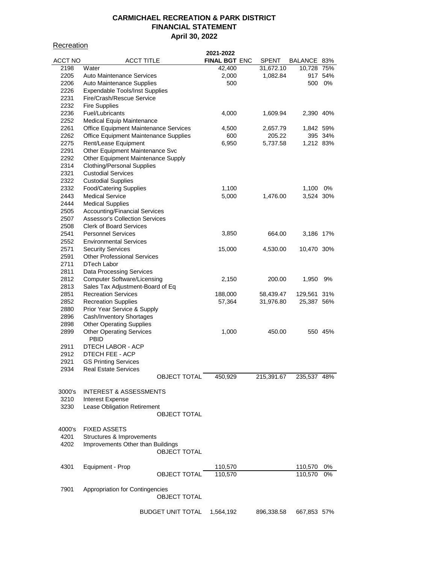**Recreation** 

|                |                                       | 2021-2022            |            |             |         |
|----------------|---------------------------------------|----------------------|------------|-------------|---------|
| <b>ACCT NO</b> | <b>ACCT TITLE</b>                     | <b>FINAL BGT ENC</b> | SPENT      | BALANCE 83% |         |
| 2198           | Water                                 | 42,400               | 31,672.10  | 10,728 75%  |         |
| 2205           | Auto Maintenance Services             | 2,000                | 1,082.84   |             | 917 54% |
|                |                                       |                      |            |             | 0%      |
| 2206           | Auto Maintenance Supplies             | 500                  |            | 500         |         |
| 2226           | <b>Expendable Tools/Inst Supplies</b> |                      |            |             |         |
| 2231           | Fire/Crash/Rescue Service             |                      |            |             |         |
| 2232           | <b>Fire Supplies</b>                  |                      |            |             |         |
| 2236           | Fuel/Lubricants                       | 4,000                | 1,609.94   | 2,390 40%   |         |
| 2252           | <b>Medical Equip Maintenance</b>      |                      |            |             |         |
| 2261           | Office Equipment Maintenance Services | 4,500                | 2,657.79   | 1,842 59%   |         |
| 2262           | Office Equipment Maintenance Supplies | 600                  | 205.22     |             | 395 34% |
| 2275           | Rent/Lease Equipment                  | 6,950                | 5,737.58   | 1,212 83%   |         |
| 2291           | Other Equipment Maintenance Svc       |                      |            |             |         |
|                |                                       |                      |            |             |         |
| 2292           | Other Equipment Maintenance Supply    |                      |            |             |         |
| 2314           | <b>Clothing/Personal Supplies</b>     |                      |            |             |         |
| 2321           | <b>Custodial Services</b>             |                      |            |             |         |
| 2322           | <b>Custodial Supplies</b>             |                      |            |             |         |
| 2332           | <b>Food/Catering Supplies</b>         | 1,100                |            | 1,100       | 0%      |
| 2443           | <b>Medical Service</b>                | 5,000                | 1,476.00   | 3,524 30%   |         |
| 2444           | <b>Medical Supplies</b>               |                      |            |             |         |
| 2505           | <b>Accounting/Financial Services</b>  |                      |            |             |         |
| 2507           | <b>Assessor's Collection Services</b> |                      |            |             |         |
| 2508           | <b>Clerk of Board Services</b>        |                      |            |             |         |
|                |                                       |                      |            |             |         |
| 2541           | <b>Personnel Services</b>             | 3,850                | 664.00     | 3,186 17%   |         |
| 2552           | <b>Environmental Services</b>         |                      |            |             |         |
| 2571           | <b>Security Services</b>              | 15,000               | 4,530.00   | 10,470 30%  |         |
| 2591           | <b>Other Professional Services</b>    |                      |            |             |         |
| 2711           | DTech Labor                           |                      |            |             |         |
| 2811           | <b>Data Processing Services</b>       |                      |            |             |         |
| 2812           | <b>Computer Software/Licensing</b>    | 2,150                | 200.00     | 1,950       | 9%      |
| 2813           | Sales Tax Adjustment-Board of Eq      |                      |            |             |         |
| 2851           | <b>Recreation Services</b>            | 188,000              | 58,439.47  | 129,561 31% |         |
|                |                                       |                      |            |             |         |
| 2852           | <b>Recreation Supplies</b>            | 57,364               | 31,976.80  | 25,387 56%  |         |
| 2880           | Prior Year Service & Supply           |                      |            |             |         |
| 2896           | Cash/Inventory Shortages              |                      |            |             |         |
| 2898           | <b>Other Operating Supplies</b>       |                      |            |             |         |
| 2899           | <b>Other Operating Services</b>       | 1,000                | 450.00     |             | 550 45% |
|                | PBID                                  |                      |            |             |         |
| 2911           | DTECH LABOR - ACP                     |                      |            |             |         |
| 2912           | DTECH FEE - ACP                       |                      |            |             |         |
| 2921           | <b>GS Printing Services</b>           |                      |            |             |         |
| 2934           | <b>Real Estate Services</b>           |                      |            |             |         |
|                |                                       |                      | 215,391.67 |             |         |
|                | OBJECT TOTAL                          | 450,929              |            | 235,537 48% |         |
|                |                                       |                      |            |             |         |
| 3000's         | <b>INTEREST &amp; ASSESSMENTS</b>     |                      |            |             |         |
| 3210           | Interest Expense                      |                      |            |             |         |
| 3230           | Lease Obligation Retirement           |                      |            |             |         |
|                | <b>OBJECT TOTAL</b>                   |                      |            |             |         |
|                |                                       |                      |            |             |         |
| 4000's         | <b>FIXED ASSETS</b>                   |                      |            |             |         |
| 4201           | Structures & Improvements             |                      |            |             |         |
| 4202           | Improvements Other than Buildings     |                      |            |             |         |
|                | <b>OBJECT TOTAL</b>                   |                      |            |             |         |
|                |                                       |                      |            |             |         |
|                |                                       |                      |            |             |         |
| 4301           | Equipment - Prop                      | 110,570              |            | 110,570     | 0%      |
|                | <b>OBJECT TOTAL</b>                   | 110,570              |            | 110,570     | 0%      |
|                |                                       |                      |            |             |         |
| 7901           | Appropriation for Contingencies       |                      |            |             |         |
|                | <b>OBJECT TOTAL</b>                   |                      |            |             |         |
|                |                                       |                      |            |             |         |
|                | BUDGET UNIT TOTAL                     | 1,564,192            | 896,338.58 | 667,853 57% |         |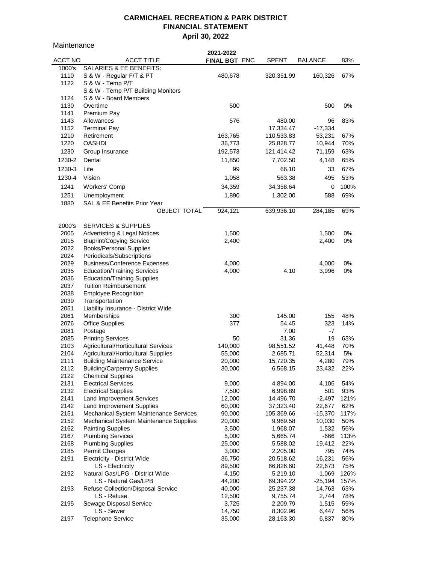**Maintenance** 

|         |                                         | 2021-2022            |            |                |      |
|---------|-----------------------------------------|----------------------|------------|----------------|------|
| ACCT NO | <b>ACCT TITLE</b>                       | <b>FINAL BGT ENC</b> | SPENT      | <b>BALANCE</b> | 83%  |
| 1000's  | SALARIES & EE BENEFITS:                 |                      |            |                |      |
| 1110    | S & W - Regular F/T & PT                | 480,678              | 320,351.99 | 160,326        | 67%  |
| 1122    | S & W - Temp P/T                        |                      |            |                |      |
|         | S & W - Temp P/T Building Monitors      |                      |            |                |      |
| 1124    | S & W - Board Members                   |                      |            |                |      |
| 1130    | Overtime                                | 500                  |            | 500            | 0%   |
|         |                                         |                      |            |                |      |
| 1141    | Premium Pay                             |                      |            |                |      |
| 1143    | Allowances                              | 576                  | 480.00     | 96             | 83%  |
| 1152    | <b>Terminal Pay</b>                     |                      | 17,334.47  | $-17,334$      |      |
| 1210    | Retirement                              | 163,765              | 110,533.83 | 53,231         | 67%  |
| 1220    | <b>OASHDI</b>                           | 36,773               | 25,828.77  | 10,944         | 70%  |
| 1230    | Group Insurance                         | 192,573              | 121,414.42 | 71,159         | 63%  |
| 1230-2  | Dental                                  | 11,850               | 7,702.50   | 4,148          | 65%  |
| 1230-3  | Life                                    | 99                   | 66.10      | 33             | 67%  |
|         |                                         |                      |            |                |      |
| 1230-4  | Vision                                  | 1,058                | 563.38     | 495            | 53%  |
| 1241    | Workers' Comp                           | 34,359               | 34,358.64  | 0              | 100% |
| 1251    | Unemployment                            | 1,890                | 1,302.00   | 588            | 69%  |
| 1880    | SAL & EE Benefits Prior Year            |                      |            |                |      |
|         | <b>OBJECT TOTAL</b>                     | 924,121              | 639,936.10 | 284,185        | 69%  |
|         |                                         |                      |            |                |      |
| 2000's  | <b>SERVICES &amp; SUPPLIES</b>          |                      |            |                |      |
|         |                                         |                      |            |                |      |
| 2005    | <b>Advertisting &amp; Legal Notices</b> | 1,500                |            | 1,500          | 0%   |
| 2015    | <b>Bluprint/Copying Service</b>         | 2,400                |            | 2,400          | 0%   |
| 2022    | <b>Books/Personal Supplies</b>          |                      |            |                |      |
| 2024    | Periodicals/Subscriptions               |                      |            |                |      |
| 2029    | <b>Business/Conference Expenses</b>     | 4,000                |            | 4,000          | 0%   |
| 2035    | <b>Education/Training Services</b>      | 4,000                | 4.10       | 3,996          | 0%   |
| 2036    | <b>Education/Training Supplies</b>      |                      |            |                |      |
| 2037    | <b>Tuition Reimbursement</b>            |                      |            |                |      |
| 2038    | <b>Employee Recognition</b>             |                      |            |                |      |
| 2039    | Transportation                          |                      |            |                |      |
| 2051    | Liability Insurance - District Wide     |                      |            |                |      |
| 2061    | Memberships                             | 300                  | 145.00     | 155            | 48%  |
| 2076    | <b>Office Supplies</b>                  | 377                  | 54.45      | 323            | 14%  |
| 2081    | Postage                                 |                      | 7.00       | $-7$           |      |
| 2085    | <b>Printing Services</b>                | 50                   | 31.36      | 19             | 63%  |
| 2103    | Agricultural/Horticultural Services     |                      |            |                | 70%  |
|         |                                         | 140,000              | 98,551.52  | 41,448         |      |
| 2104    | Agricultural/Horticultural Supplies     | 55,000               | 2,685.71   | 52,314         | 5%   |
| 2111    | <b>Building Maintenance Service</b>     | 20,000               | 15,720.35  | 4,280          | 79%  |
| 2112    | <b>Building/Carpentry Supplies</b>      | 30,000               | 6,568.15   | 23,432         | 22%  |
| 2122    | <b>Chemical Supplies</b>                |                      |            |                |      |
| 2131    | <b>Electrical Services</b>              | 9,000                | 4,894.00   | 4,106          | 54%  |
| 2132    | <b>Electrical Supplies</b>              | 7,500                | 6,998.89   | 501            | 93%  |
| 2141    | <b>Land Improvement Services</b>        | 12,000               | 14,496.70  | $-2,497$       | 121% |
| 2142    | <b>Land Improvement Supplies</b>        | 60,000               | 37,323.40  | 22,677         | 62%  |
| 2151    | Mechanical System Maintenance Services  | 90,000               | 105,369.66 | $-15,370$      | 117% |
| 2152    | Mechanical System Maintenance Supplies  | 20,000               | 9,969.58   | 10,030         | 50%  |
| 2162    | <b>Painting Supplies</b>                | 3,500                | 1,968.07   | 1,532          | 56%  |
| 2167    | <b>Plumbing Services</b>                | 5,000                | 5,665.74   | $-666$         | 113% |
| 2168    | <b>Plumbing Supplies</b>                | 25,000               | 5,588.02   | 19,412         | 22%  |
| 2185    | Permit Charges                          | 3,000                | 2,205.00   | 795            | 74%  |
| 2191    | Electricity - District Wide             | 36,750               | 20,518.62  | 16,231         | 56%  |
|         |                                         |                      |            |                |      |
|         | LS - Electricity                        | 89,500               | 66,826.60  | 22,673         | 75%  |
| 2192    | Natural Gas/LPG - District Wide         | 4,150                | 5,219.10   | $-1,069$       | 126% |
|         | LS - Natural Gas/LPB                    | 44,200               | 69,394.22  | $-25,194$      | 157% |
| 2193    | Refuse Collection/Disposal Service      | 40,000               | 25,237.38  | 14,763         | 63%  |
|         | LS - Refuse                             | 12,500               | 9,755.74   | 2,744          | 78%  |
| 2195    | Sewage Disposal Service                 | 3,725                | 2,209.79   | 1,515          | 59%  |
|         | LS - Sewer                              | 14,750               | 8,302.96   | 6,447          | 56%  |
| 2197    | <b>Telephone Service</b>                | 35,000               | 28,163.30  | 6,837          | 80%  |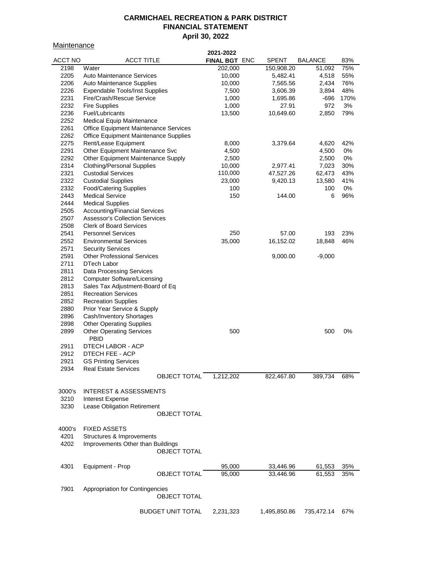**Maintenance** 

| <u><u>Malliturative</u></u> |                                                         |                          | 2021-2022      |              |                |           |
|-----------------------------|---------------------------------------------------------|--------------------------|----------------|--------------|----------------|-----------|
| <b>ACCT NO</b>              | <b>ACCT TITLE</b>                                       |                          | FINAL BGT ENC  | <b>SPENT</b> | <b>BALANCE</b> | 83%       |
| 2198                        | Water                                                   |                          | 202,000        | 150,908.20   | 51,092         | 75%       |
| 2205                        | Auto Maintenance Services                               |                          | 10,000         | 5,482.41     | 4,518          | 55%       |
| 2206                        | Auto Maintenance Supplies                               |                          | 10,000         | 7,565.56     | 2,434          | 76%       |
| 2226                        | <b>Expendable Tools/Inst Supplies</b>                   |                          | 7,500          | 3,606.39     | 3,894          | 48%       |
| 2231                        | Fire/Crash/Rescue Service                               |                          | 1,000          | 1,695.86     | -696           | 170%      |
| 2232                        | <b>Fire Supplies</b>                                    |                          | 1,000          | 27.91        | 972            | 3%        |
| 2236                        | Fuel/Lubricants                                         |                          | 13,500         | 10,649.60    | 2,850          | 79%       |
| 2252                        | <b>Medical Equip Maintenance</b>                        |                          |                |              |                |           |
| 2261                        | Office Equipment Maintenance Services                   |                          |                |              |                |           |
| 2262<br>2275                | Office Equipment Maintenance Supplies                   |                          |                |              |                |           |
| 2291                        | Rent/Lease Equipment<br>Other Equipment Maintenance Svc |                          | 8,000<br>4,500 | 3,379.64     | 4,620<br>4,500 | 42%<br>0% |
| 2292                        | Other Equipment Maintenance Supply                      |                          | 2,500          |              | 2,500          | 0%        |
| 2314                        | <b>Clothing/Personal Supplies</b>                       |                          | 10,000         | 2,977.41     | 7,023          | 30%       |
| 2321                        | <b>Custodial Services</b>                               |                          | 110,000        | 47,527.26    | 62,473         | 43%       |
| 2322                        | <b>Custodial Supplies</b>                               |                          | 23,000         | 9,420.13     | 13,580         | 41%       |
| 2332                        | <b>Food/Catering Supplies</b>                           |                          | 100            |              | 100            | 0%        |
| 2443                        | <b>Medical Service</b>                                  |                          | 150            | 144.00       | 6              | 96%       |
| 2444                        | <b>Medical Supplies</b>                                 |                          |                |              |                |           |
| 2505                        | <b>Accounting/Financial Services</b>                    |                          |                |              |                |           |
| 2507                        | <b>Assessor's Collection Services</b>                   |                          |                |              |                |           |
| 2508                        | <b>Clerk of Board Services</b>                          |                          |                |              |                |           |
| 2541                        | <b>Personnel Services</b>                               |                          | 250            | 57.00        | 193            | 23%       |
| 2552                        | <b>Environmental Services</b>                           |                          | 35,000         | 16,152.02    | 18,848         | 46%       |
| 2571                        | <b>Security Services</b>                                |                          |                |              |                |           |
| 2591                        | <b>Other Professional Services</b>                      |                          |                | 9,000.00     | $-9,000$       |           |
| 2711                        | <b>DTech Labor</b>                                      |                          |                |              |                |           |
| 2811                        | <b>Data Processing Services</b>                         |                          |                |              |                |           |
| 2812                        | <b>Computer Software/Licensing</b>                      |                          |                |              |                |           |
| 2813                        | Sales Tax Adjustment-Board of Eq                        |                          |                |              |                |           |
| 2851                        | <b>Recreation Services</b>                              |                          |                |              |                |           |
| 2852                        | <b>Recreation Supplies</b>                              |                          |                |              |                |           |
| 2880                        | Prior Year Service & Supply                             |                          |                |              |                |           |
| 2896                        | Cash/Inventory Shortages                                |                          |                |              |                |           |
| 2898                        | <b>Other Operating Supplies</b>                         |                          | 500            |              |                | 0%        |
| 2899                        | <b>Other Operating Services</b><br><b>PBID</b>          |                          |                |              | 500            |           |
| 2911                        | DTECH LABOR - ACP                                       |                          |                |              |                |           |
| 2912                        | DTECH FEE - ACP                                         |                          |                |              |                |           |
| 2921                        | <b>GS Printing Services</b>                             |                          |                |              |                |           |
| 2934                        | <b>Real Estate Services</b>                             |                          |                |              |                |           |
|                             |                                                         | OBJECT TOTAL             | 1,212,202      | 822,467.80   | 389,734        | 68%       |
|                             |                                                         |                          |                |              |                |           |
| 3000's                      | <b>INTEREST &amp; ASSESSMENTS</b>                       |                          |                |              |                |           |
| 3210                        | <b>Interest Expense</b>                                 |                          |                |              |                |           |
| 3230                        | Lease Obligation Retirement                             |                          |                |              |                |           |
|                             |                                                         | <b>OBJECT TOTAL</b>      |                |              |                |           |
|                             |                                                         |                          |                |              |                |           |
| 4000's                      | <b>FIXED ASSETS</b>                                     |                          |                |              |                |           |
| 4201                        | Structures & Improvements                               |                          |                |              |                |           |
| 4202                        | Improvements Other than Buildings                       |                          |                |              |                |           |
|                             |                                                         | <b>OBJECT TOTAL</b>      |                |              |                |           |
|                             |                                                         |                          |                |              |                |           |
| 4301                        | Equipment - Prop                                        |                          | 95,000         | 33,446.96    | 61,553         | 35%       |
|                             |                                                         | <b>OBJECT TOTAL</b>      | 95,000         | 33,446.96    | 61,553         | 35%       |
|                             |                                                         |                          |                |              |                |           |
| 7901                        | Appropriation for Contingencies                         | <b>OBJECT TOTAL</b>      |                |              |                |           |
|                             |                                                         |                          |                |              |                |           |
|                             |                                                         | <b>BUDGET UNIT TOTAL</b> | 2,231,323      | 1,495,850.86 | 735,472.14     | 67%       |
|                             |                                                         |                          |                |              |                |           |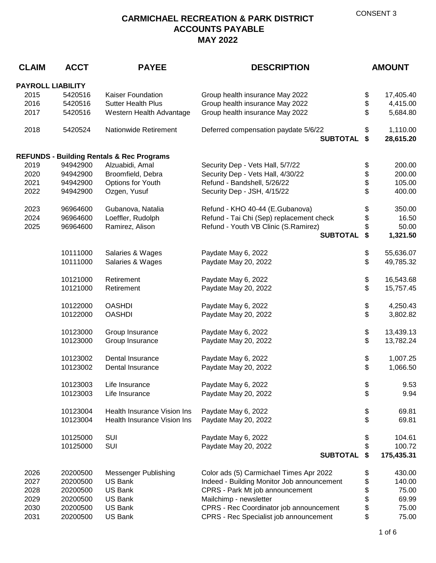| <b>CLAIM</b>             | <b>ACCT</b>          | <b>PAYEE</b>                                         | <b>DESCRIPTION</b>                          |          | <b>AMOUNT</b>          |
|--------------------------|----------------------|------------------------------------------------------|---------------------------------------------|----------|------------------------|
| <b>PAYROLL LIABILITY</b> |                      |                                                      |                                             |          |                        |
| 2015                     | 5420516              | Kaiser Foundation                                    | Group health insurance May 2022             | \$       | 17,405.40              |
| 2016                     | 5420516              | <b>Sutter Health Plus</b>                            | Group health insurance May 2022             | \$       | 4,415.00               |
| 2017                     | 5420516              | Western Health Advantage                             | Group health insurance May 2022             | \$       | 5,684.80               |
|                          |                      |                                                      |                                             |          |                        |
| 2018                     | 5420524              | <b>Nationwide Retirement</b>                         | Deferred compensation paydate 5/6/22        | \$       | 1,110.00               |
|                          |                      |                                                      | <b>SUBTOTAL</b>                             | \$       | 28,615.20              |
|                          |                      | <b>REFUNDS - Building Rentals &amp; Rec Programs</b> |                                             |          |                        |
| 2019                     | 94942900             | Alzuabidi, Amal                                      | Security Dep - Vets Hall, 5/7/22            | \$       | 200.00                 |
| 2020                     | 94942900             | Broomfield, Debra                                    | Security Dep - Vets Hall, 4/30/22           | \$       | 200.00                 |
| 2021                     | 94942900             | Options for Youth                                    | Refund - Bandshell, 5/26/22                 | \$       | 105.00                 |
| 2022                     | 94942900             | Ozgen, Yusuf                                         | Security Dep - JSH, 4/15/22                 | \$       | 400.00                 |
|                          |                      |                                                      |                                             |          |                        |
| 2023                     | 96964600             | Gubanova, Natalia                                    | Refund - KHO 40-44 (E.Gubanova)             | \$       | 350.00                 |
| 2024                     | 96964600             | Loeffler, Rudolph                                    | Refund - Tai Chi (Sep) replacement check    | \$       | 16.50                  |
| 2025                     | 96964600             | Ramirez, Alison                                      | Refund - Youth VB Clinic (S.Ramirez)        | \$       | 50.00                  |
|                          |                      |                                                      | <b>SUBTOTAL</b>                             | \$       | 1,321.50               |
|                          | 10111000             | Salaries & Wages                                     |                                             |          |                        |
|                          | 10111000             | Salaries & Wages                                     | Paydate May 6, 2022<br>Paydate May 20, 2022 | \$<br>\$ | 55,636.07<br>49,785.32 |
|                          |                      |                                                      |                                             |          |                        |
|                          | 10121000             | Retirement                                           | Paydate May 6, 2022                         | \$       | 16,543.68              |
|                          | 10121000             | Retirement                                           | Paydate May 20, 2022                        | \$       | 15,757.45              |
|                          | 10122000             | <b>OASHDI</b>                                        | Paydate May 6, 2022                         |          | 4,250.43               |
|                          | 10122000             | <b>OASHDI</b>                                        | Paydate May 20, 2022                        | \$<br>\$ | 3,802.82               |
|                          |                      |                                                      |                                             |          |                        |
|                          | 10123000             | Group Insurance                                      | Paydate May 6, 2022                         | \$       | 13,439.13              |
|                          | 10123000             | Group Insurance                                      | Paydate May 20, 2022                        | \$       | 13,782.24              |
|                          |                      |                                                      |                                             |          |                        |
|                          | 10123002<br>10123002 | Dental Insurance                                     | Paydate May 6, 2022                         | \$<br>\$ | 1,007.25               |
|                          |                      | Dental Insurance                                     | Paydate May 20, 2022                        |          | 1,066.50               |
|                          | 10123003             | Life Insurance                                       | Paydate May 6, 2022                         | \$       | 9.53                   |
|                          | 10123003             | Life Insurance                                       | Paydate May 20, 2022                        | \$       | 9.94                   |
|                          |                      |                                                      |                                             |          |                        |
|                          | 10123004             | Health Insurance Vision Ins                          | Paydate May 6, 2022                         | \$       | 69.81                  |
|                          | 10123004             | Health Insurance Vision Ins                          | Paydate May 20, 2022                        | \$       | 69.81                  |
|                          | 10125000             | <b>SUI</b>                                           | Paydate May 6, 2022                         | \$       | 104.61                 |
|                          | 10125000             | SUI                                                  | Paydate May 20, 2022                        | \$       | 100.72                 |
|                          |                      |                                                      | <b>SUBTOTAL</b>                             | \$       | 175,435.31             |
| 2026                     | 20200500             | <b>Messenger Publishing</b>                          | Color ads (5) Carmichael Times Apr 2022     | \$       | 430.00                 |
| 2027                     | 20200500             | <b>US Bank</b>                                       | Indeed - Building Monitor Job announcement  | \$       | 140.00                 |
| 2028                     | 20200500             | US Bank                                              | CPRS - Park Mt job announcement             | \$       | 75.00                  |
| 2029                     | 20200500             | US Bank                                              | Mailchimp - newsletter                      | \$       | 69.99                  |
| 2030                     | 20200500             | US Bank                                              | CPRS - Rec Coordinator job announcement     | \$       | 75.00                  |
| 2031                     | 20200500             | US Bank                                              | CPRS - Rec Specialist job announcement      | \$       | 75.00                  |
|                          |                      |                                                      |                                             |          |                        |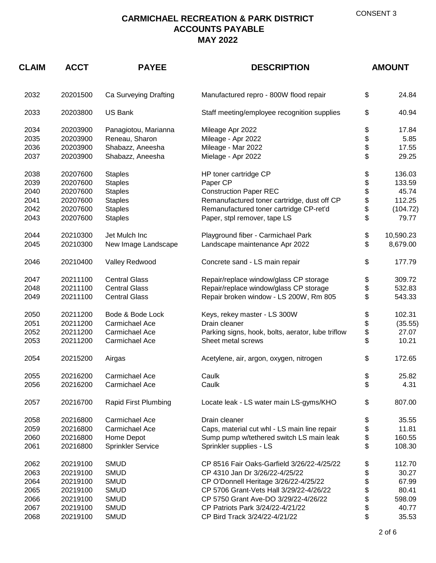| <b>CLAIM</b> | <b>ACCT</b> | <b>PAYEE</b>             | <b>DESCRIPTION</b>                                |    | <b>AMOUNT</b> |  |
|--------------|-------------|--------------------------|---------------------------------------------------|----|---------------|--|
| 2032         | 20201500    | Ca Surveying Drafting    | Manufactured repro - 800W flood repair            | \$ | 24.84         |  |
| 2033         | 20203800    | <b>US Bank</b>           | Staff meeting/employee recognition supplies       | \$ | 40.94         |  |
| 2034         | 20203900    | Panagiotou, Marianna     | Mileage Apr 2022                                  | \$ | 17.84         |  |
| 2035         | 20203900    | Reneau, Sharon           | Mileage - Apr 2022                                | \$ | 5.85          |  |
| 2036         | 20203900    | Shabazz, Aneesha         | Mileage - Mar 2022                                | \$ | 17.55         |  |
| 2037         | 20203900    | Shabazz, Aneesha         | Mielage - Apr 2022                                | \$ | 29.25         |  |
| 2038         | 20207600    | <b>Staples</b>           | HP toner cartridge CP                             | \$ | 136.03        |  |
| 2039         | 20207600    | <b>Staples</b>           | Paper CP                                          | \$ | 133.59        |  |
| 2040         | 20207600    | <b>Staples</b>           | <b>Construction Paper REC</b>                     | \$ | 45.74         |  |
| 2041         | 20207600    | <b>Staples</b>           | Remanufactured toner cartridge, dust off CP       | \$ | 112.25        |  |
| 2042         | 20207600    | <b>Staples</b>           | Remanufactured toner cartridge CP-ret'd           | \$ | (104.72)      |  |
| 2043         | 20207600    | <b>Staples</b>           | Paper, stpl remover, tape LS                      | \$ | 79.77         |  |
| 2044         | 20210300    | Jet Mulch Inc            | Playground fiber - Carmichael Park                | \$ | 10,590.23     |  |
| 2045         | 20210300    | New Image Landscape      | Landscape maintenance Apr 2022                    | \$ | 8,679.00      |  |
| 2046         | 20210400    | Valley Redwood           | Concrete sand - LS main repair                    | \$ | 177.79        |  |
| 2047         | 20211100    | <b>Central Glass</b>     | Repair/replace window/glass CP storage            | \$ | 309.72        |  |
| 2048         | 20211100    | <b>Central Glass</b>     | Repair/replace window/glass CP storage            | \$ | 532.83        |  |
| 2049         | 20211100    | <b>Central Glass</b>     | Repair broken window - LS 200W, Rm 805            | \$ | 543.33        |  |
| 2050         | 20211200    | Bode & Bode Lock         | Keys, rekey master - LS 300W                      | \$ | 102.31        |  |
| 2051         | 20211200    | Carmichael Ace           | Drain cleaner                                     | \$ | (35.55)       |  |
| 2052         | 20211200    | Carmichael Ace           | Parking signs, hook, bolts, aerator, lube triflow | \$ | 27.07         |  |
| 2053         | 20211200    | Carmichael Ace           | Sheet metal screws                                | \$ | 10.21         |  |
| 2054         | 20215200    | Airgas                   | Acetylene, air, argon, oxygen, nitrogen           | \$ | 172.65        |  |
| 2055         | 20216200    | Carmichael Ace           | Caulk                                             | \$ | 25.82         |  |
| 2056         | 20216200    | Carmichael Ace           | Caulk                                             | \$ | 4.31          |  |
| 2057         | 20216700    | Rapid First Plumbing     | Locate leak - LS water main LS-gyms/KHO           | \$ | 807.00        |  |
| 2058         | 20216800    | Carmichael Ace           | Drain cleaner                                     | \$ | 35.55         |  |
| 2059         | 20216800    | Carmichael Ace           | Caps, material cut whl - LS main line repair      | \$ | 11.81         |  |
| 2060         | 20216800    | Home Depot               | Sump pump w/tethered switch LS main leak          | \$ | 160.55        |  |
| 2061         | 20216800    | <b>Sprinkler Service</b> | Sprinkler supplies - LS                           | \$ | 108.30        |  |
| 2062         | 20219100    | <b>SMUD</b>              | CP 8516 Fair Oaks-Garfield 3/26/22-4/25/22        | \$ | 112.70        |  |
| 2063         | 20219100    | <b>SMUD</b>              | CP 4310 Jan Dr 3/26/22-4/25/22                    | \$ | 30.27         |  |
| 2064         | 20219100    | <b>SMUD</b>              | CP O'Donnell Heritage 3/26/22-4/25/22             | \$ | 67.99         |  |
| 2065         | 20219100    | <b>SMUD</b>              | CP 5706 Grant-Vets Hall 3/29/22-4/26/22           | \$ | 80.41         |  |
| 2066         | 20219100    | <b>SMUD</b>              | CP 5750 Grant Ave-DO 3/29/22-4/26/22              | \$ | 598.09        |  |
| 2067         | 20219100    | <b>SMUD</b>              | CP Patriots Park 3/24/22-4/21/22                  | \$ | 40.77         |  |
| 2068         | 20219100    | <b>SMUD</b>              | CP Bird Track 3/24/22-4/21/22                     | \$ | 35.53         |  |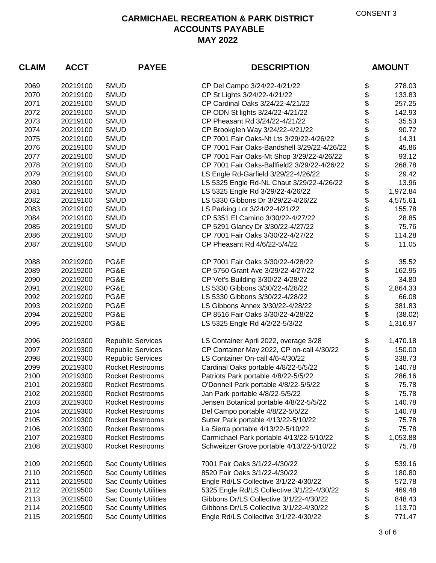| <b>CLAIM</b> | <b>ACCT</b> | <b>PAYEE</b>                | <b>DESCRIPTION</b>                           | <b>AMOUNT</b>  |
|--------------|-------------|-----------------------------|----------------------------------------------|----------------|
| 2069         | 20219100    | <b>SMUD</b>                 | CP Del Campo 3/24/22-4/21/22                 | \$<br>278.03   |
| 2070         | 20219100    | <b>SMUD</b>                 | CP St Lights 3/24/22-4/21/22                 | \$<br>133.83   |
| 2071         | 20219100    | <b>SMUD</b>                 | CP Cardinal Oaks 3/24/22-4/21/22             | \$<br>257.25   |
| 2072         | 20219100    | <b>SMUD</b>                 | CP ODN St lights 3/24/22-4/21/22             | \$<br>142.93   |
| 2073         | 20219100    | <b>SMUD</b>                 | CP Pheasant Rd 3/24/22-4/21/22               | \$<br>35.53    |
| 2074         | 20219100    | <b>SMUD</b>                 | CP Brookglen Way 3/24/22-4/21/22             | \$<br>90.72    |
| 2075         | 20219100    | <b>SMUD</b>                 | CP 7001 Fair Oaks-Nt Lts 3/29/22-4/26/22     | \$<br>14.31    |
| 2076         | 20219100    | <b>SMUD</b>                 | CP 7001 Fair Oaks-Bandshell 3/29/22-4/26/22  | \$<br>45.86    |
| 2077         | 20219100    | <b>SMUD</b>                 | CP 7001 Fair Oaks-Mt Shop 3/29/22-4/26/22    | \$<br>93.12    |
| 2078         | 20219100    | <b>SMUD</b>                 | CP 7001 Fair Oaks-Ballfield2 3/29/22-4/26/22 | \$<br>268.78   |
| 2079         | 20219100    | <b>SMUD</b>                 | LS Engle Rd-Garfield 3/29/22-4/26/22         | \$<br>29.42    |
| 2080         | 20219100    | <b>SMUD</b>                 | LS 5325 Engle Rd-NL Chaut 3/29/22-4/26/22    | \$<br>13.96    |
| 2081         | 20219100    | <b>SMUD</b>                 | LS 5325 Engle Rd 3/29/22-4/26/22             | \$<br>1,972.84 |
| 2082         | 20219100    | <b>SMUD</b>                 | LS 5330 Gibbons Dr 3/29/22-4/26/22           | \$<br>4,575.61 |
| 2083         | 20219100    | <b>SMUD</b>                 | LS Parking Lot 3/24/22-4/21/22               | \$<br>155.78   |
| 2084         | 20219100    | <b>SMUD</b>                 | CP 5351 El Camino 3/30/22-4/27/22            | \$<br>28.85    |
| 2085         | 20219100    | <b>SMUD</b>                 | CP 5291 Glancy Dr 3/30/22-4/27/22            | \$<br>75.76    |
| 2086         | 20219100    | <b>SMUD</b>                 | CP 7001 Fair Oaks 3/30/22-4/27/22            | \$<br>114.28   |
| 2087         | 20219100    | <b>SMUD</b>                 | CP Pheasant Rd 4/6/22-5/4/22                 | \$<br>11.05    |
| 2088         | 20219200    | PG&E                        | CP 7001 Fair Oaks 3/30/22-4/28/22            | \$<br>35.52    |
| 2089         | 20219200    | PG&E                        | CP 5750 Grant Ave 3/29/22-4/27/22            | \$<br>162.95   |
| 2090         | 20219200    | PG&E                        | CP Vet's Building 3/30/22-4/28/22            | \$<br>34.80    |
| 2091         | 20219200    | PG&E                        | LS 5330 Gibbons 3/30/22-4/28/22              | \$<br>2,864.33 |
| 2092         | 20219200    | PG&E                        | LS 5330 Gibbons 3/30/22-4/28/22              | \$<br>66.08    |
| 2093         | 20219200    | PG&E                        | LS Gibbons Annex 3/30/22-4/28/22             | \$<br>381.83   |
| 2094         | 20219200    | PG&E                        | CP 8516 Fair Oaks 3/30/22-4/28/22            | \$<br>(38.02)  |
| 2095         | 20219200    | PG&E                        | LS 5325 Engle Rd 4/2/22-5/3/22               | \$<br>1,316.97 |
| 2096         | 20219300    | <b>Republic Services</b>    | LS Container April 2022, overage 3/28        | \$<br>1,470.18 |
| 2097         | 20219300    | <b>Republic Services</b>    | CP Container May 2022, CP on-call 4/30/22    | \$<br>150.00   |
| 2098         | 20219300    | <b>Republic Services</b>    | LS Container On-call 4/6-4/30/22             | \$<br>338.73   |
| 2099         | 20219300    | <b>Rocket Restrooms</b>     | Cardinal Oaks portable 4/8/22-5/5/22         | \$<br>140.78   |
| 2100         | 20219300    | <b>Rocket Restrooms</b>     | Patriots Park portable 4/8/22-5/5/22         | \$<br>286.16   |
| 2101         | 20219300    | <b>Rocket Restrooms</b>     | O'Donnell Park portable 4/8/22-5/5/22        | \$<br>75.78    |
| 2102         | 20219300    | <b>Rocket Restrooms</b>     | Jan Park portable 4/8/22-5/5/22              | \$<br>75.78    |
| 2103         | 20219300    | <b>Rocket Restrooms</b>     | Jensen Botanical portable 4/8/22-5/5/22      | \$<br>140.78   |
| 2104         | 20219300    | <b>Rocket Restrooms</b>     | Del Campo portable 4/8/22-5/5/22             | \$<br>140.78   |
| 2105         | 20219300    | <b>Rocket Restrooms</b>     | Sutter Park portable 4/13/22-5/10/22         | \$<br>75.78    |
| 2106         | 20219300    | <b>Rocket Restrooms</b>     | La Sierra portable 4/13/22-5/10/22           | \$<br>75.78    |
| 2107         | 20219300    | <b>Rocket Restrooms</b>     | Carmichael Park portable 4/13/22-5/10/22     | \$<br>1,053.88 |
| 2108         | 20219300    | <b>Rocket Restrooms</b>     | Schweitzer Grove portable 4/13/22-5/10/22    | \$<br>75.78    |
| 2109         | 20219500    | <b>Sac County Utilities</b> | 7001 Fair Oaks 3/1/22-4/30/22                | \$<br>539.16   |
| 2110         | 20219500    | <b>Sac County Utilities</b> | 8520 Fair Oaks 3/1/22-4/30/22                | \$<br>180.80   |
| 2111         | 20219500    | <b>Sac County Utilities</b> | Engle Rd/LS Collective 3/1/22-4/30/22        | \$<br>572.78   |
| 2112         | 20219500    | <b>Sac County Utilities</b> | 5325 Engle Rd/LS Collective 3/1/22-4/30/22   | \$<br>469.48   |
| 2113         | 20219500    | <b>Sac County Utilities</b> | Gibbons Dr/LS Collective 3/1/22-4/30/22      | \$<br>848.43   |
| 2114         | 20219500    | <b>Sac County Utilities</b> | Gibbons Dr/LS Collective 3/1/22-4/30/22      | \$<br>113.70   |
| 2115         | 20219500    | <b>Sac County Utilities</b> | Engle Rd/LS Collective 3/1/22-4/30/22        | \$<br>771.47   |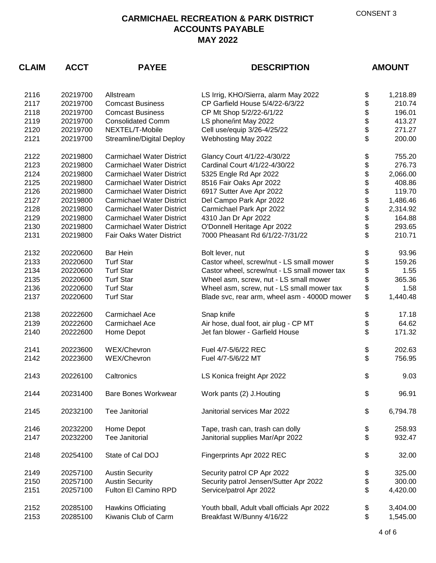| <b>CLAIM</b> | <b>ACCT</b><br><b>PAYEE</b><br><b>DESCRIPTION</b> |                                  | <b>AMOUNT</b>                                |          |          |
|--------------|---------------------------------------------------|----------------------------------|----------------------------------------------|----------|----------|
| 2116         | 20219700                                          | Allstream                        | LS Irrig, KHO/Sierra, alarm May 2022         | \$       | 1,218.89 |
| 2117         | 20219700                                          | <b>Comcast Business</b>          | CP Garfield House 5/4/22-6/3/22              | \$       | 210.74   |
| 2118         | 20219700                                          | <b>Comcast Business</b>          | CP Mt Shop 5/2/22-6/1/22                     | \$       | 196.01   |
| 2119         | 20219700                                          | <b>Consolidated Comm</b>         | LS phone/int May 2022                        | \$       | 413.27   |
| 2120         | 20219700                                          | NEXTEL/T-Mobile                  | Cell use/equip 3/26-4/25/22                  | \$       | 271.27   |
| 2121         | 20219700                                          | Streamline/Digital Deploy        | Webhosting May 2022                          | \$       | 200.00   |
| 2122         | 20219800                                          | <b>Carmichael Water District</b> | Glancy Court 4/1/22-4/30/22                  | \$       | 755.20   |
| 2123         | 20219800                                          | <b>Carmichael Water District</b> | Cardinal Court 4/1/22-4/30/22                | \$       | 276.73   |
| 2124         | 20219800                                          | <b>Carmichael Water District</b> | 5325 Engle Rd Apr 2022                       | \$       | 2,066.00 |
| 2125         | 20219800                                          | <b>Carmichael Water District</b> | 8516 Fair Oaks Apr 2022                      | \$       | 408.86   |
| 2126         | 20219800                                          | <b>Carmichael Water District</b> | 6917 Sutter Ave Apr 2022                     | \$       | 119.70   |
| 2127         | 20219800                                          | <b>Carmichael Water District</b> | Del Campo Park Apr 2022                      |          | 1,486.46 |
| 2128         | 20219800                                          | <b>Carmichael Water District</b> | Carmichael Park Apr 2022                     | \$\$     | 2,314.92 |
| 2129         | 20219800                                          | <b>Carmichael Water District</b> | 4310 Jan Dr Apr 2022                         |          | 164.88   |
| 2130         | 20219800                                          | <b>Carmichael Water District</b> | O'Donnell Heritage Apr 2022                  | \$       | 293.65   |
| 2131         | 20219800                                          | Fair Oaks Water District         | 7000 Pheasant Rd 6/1/22-7/31/22              | \$       | 210.71   |
| 2132         | 20220600                                          | <b>Bar Hein</b>                  | Bolt lever, nut                              | \$<br>\$ | 93.96    |
| 2133         | 20220600                                          | <b>Turf Star</b>                 | Castor wheel, screw/nut - LS small mower     |          | 159.26   |
| 2134         | 20220600                                          | <b>Turf Star</b>                 | Castor wheel, screw/nut - LS small mower tax |          | 1.55     |
| 2135         | 20220600                                          | <b>Turf Star</b>                 | Wheel asm, screw, nut - LS small mower       |          | 365.36   |
| 2136         | 20220600                                          | <b>Turf Star</b>                 | Wheel asm, screw, nut - LS small mower tax   | \$       | 1.58     |
| 2137         | 20220600                                          | <b>Turf Star</b>                 | Blade svc, rear arm, wheel asm - 4000D mower | \$       | 1,440.48 |
| 2138         | 20222600                                          | Carmichael Ace                   | Snap knife                                   | \$       | 17.18    |
| 2139         | 20222600                                          | Carmichael Ace                   | Air hose, dual foot, air plug - CP MT        | \$       | 64.62    |
| 2140         | 20222600                                          | Home Depot                       | Jet fan blower - Garfield House              | \$       | 171.32   |
| 2141         | 20223600                                          | WEX/Chevron                      | Fuel 4/7-5/6/22 REC                          | \$       | 202.63   |
| 2142         | 20223600                                          | WEX/Chevron                      | Fuel 4/7-5/6/22 MT                           | \$       | 756.95   |
| 2143         | 20226100                                          | Caltronics                       | LS Konica freight Apr 2022                   | \$       | 9.03     |
| 2144         | 20231400                                          | Bare Bones Workwear              | Work pants (2) J. Houting                    | \$       | 96.91    |
| 2145         | 20232100                                          | Tee Janitorial                   | Janitorial services Mar 2022                 | \$       | 6,794.78 |
| 2146         | 20232200                                          | Home Depot                       | Tape, trash can, trash can dolly             | \$       | 258.93   |
| 2147         | 20232200                                          | <b>Tee Janitorial</b>            | Janitorial supplies Mar/Apr 2022             | \$       | 932.47   |
| 2148         | 20254100                                          | State of Cal DOJ                 | Fingerprints Apr 2022 REC                    | \$       | 32.00    |
| 2149         | 20257100                                          | <b>Austin Security</b>           | Security patrol CP Apr 2022                  | \$       | 325.00   |
| 2150         | 20257100                                          | <b>Austin Security</b>           | Security patrol Jensen/Sutter Apr 2022       | \$       | 300.00   |
| 2151         | 20257100                                          | Fulton El Camino RPD             | Service/patrol Apr 2022                      | \$       | 4,420.00 |
| 2152         | 20285100                                          | <b>Hawkins Officiating</b>       | Youth bball, Adult vball officials Apr 2022  | \$       | 3,404.00 |
| 2153         | 20285100                                          | Kiwanis Club of Carm             | Breakfast W/Bunny 4/16/22                    | \$       | 1,545.00 |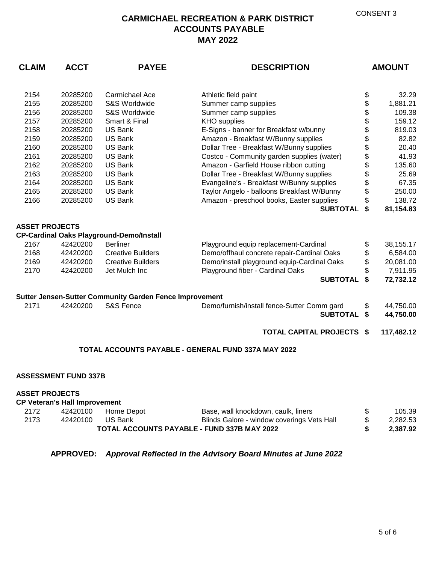## **CARMICHAEL RECREATION & PARK DISTRICT ACCOUNTS PAYABLE MAY 2022**

| <b>CLAIM</b>          | <b>ACCT</b>                          | <b>PAYEE</b>                                                   | <b>DESCRIPTION</b>                                  |    | <b>AMOUNT</b> |  |
|-----------------------|--------------------------------------|----------------------------------------------------------------|-----------------------------------------------------|----|---------------|--|
| 2154                  | 20285200                             | Carmichael Ace                                                 | Athletic field paint                                | \$ | 32.29         |  |
| 2155                  | 20285200                             | S&S Worldwide                                                  | Summer camp supplies                                | \$ | 1,881.21      |  |
| 2156                  | 20285200                             | S&S Worldwide                                                  | Summer camp supplies                                | \$ | 109.38        |  |
| 2157                  | 20285200                             | Smart & Final                                                  | <b>KHO</b> supplies                                 | \$ | 159.12        |  |
| 2158                  | 20285200                             | <b>US Bank</b>                                                 | E-Signs - banner for Breakfast w/bunny              | \$ | 819.03        |  |
| 2159                  | 20285200                             | <b>US Bank</b>                                                 | Amazon - Breakfast W/Bunny supplies                 | \$ | 82.82         |  |
| 2160                  | 20285200                             | <b>US Bank</b>                                                 | Dollar Tree - Breakfast W/Bunny supplies            | \$ | 20.40         |  |
| 2161                  | 20285200                             | US Bank                                                        | Costco - Community garden supplies (water)          | \$ | 41.93         |  |
| 2162                  | 20285200                             | <b>US Bank</b>                                                 | Amazon - Garfield House ribbon cutting              | \$ | 135.60        |  |
| 2163                  | 20285200                             | <b>US Bank</b>                                                 | Dollar Tree - Breakfast W/Bunny supplies            | \$ | 25.69         |  |
| 2164                  | 20285200                             | <b>US Bank</b>                                                 | Evangeline's - Breakfast W/Bunny supplies           | \$ | 67.35         |  |
| 2165                  | 20285200                             | US Bank                                                        | Taylor Angelo - balloons Breakfast W/Bunny          | \$ | 250.00        |  |
| 2166                  | 20285200                             | <b>US Bank</b>                                                 | Amazon - preschool books, Easter supplies           | \$ | 138.72        |  |
|                       |                                      |                                                                | <b>SUBTOTAL</b>                                     | \$ | 81,154.83     |  |
| <b>ASSET PROJECTS</b> |                                      |                                                                |                                                     |    |               |  |
|                       |                                      | <b>CP-Cardinal Oaks Playground-Demo/Install</b>                |                                                     |    |               |  |
| 2167                  | 42420200                             | <b>Berliner</b>                                                | Playground equip replacement-Cardinal               | \$ | 38,155.17     |  |
| 2168                  | 42420200                             | <b>Creative Builders</b>                                       | Demo/offhaul concrete repair-Cardinal Oaks          | \$ | 6,584.00      |  |
| 2169                  | 42420200                             | <b>Creative Builders</b>                                       | Demo/install playground equip-Cardinal Oaks         | \$ | 20,081.00     |  |
| 2170                  | 42420200                             | Jet Mulch Inc                                                  | Playground fiber - Cardinal Oaks                    | \$ | 7,911.95      |  |
|                       |                                      |                                                                | <b>SUBTOTAL</b>                                     | \$ | 72,732.12     |  |
|                       |                                      | <b>Sutter Jensen-Sutter Community Garden Fence Improvement</b> |                                                     |    |               |  |
| 2171                  | 42420200                             | <b>S&amp;S Fence</b>                                           | Demo/furnish/install fence-Sutter Comm gard         | \$ | 44,750.00     |  |
|                       |                                      |                                                                | <b>SUBTOTAL</b>                                     | \$ | 44,750.00     |  |
|                       |                                      |                                                                | <b>TOTAL CAPITAL PROJECTS \$</b>                    |    | 117,482.12    |  |
|                       |                                      |                                                                | TOTAL ACCOUNTS PAYABLE - GENERAL FUND 337A MAY 2022 |    |               |  |
|                       |                                      |                                                                |                                                     |    |               |  |
|                       | <b>ASSESSMENT FUND 337B</b>          |                                                                |                                                     |    |               |  |
| <b>ASSET PROJECTS</b> |                                      |                                                                |                                                     |    |               |  |
|                       | <b>CP Veteran's Hall Improvement</b> |                                                                |                                                     |    |               |  |
| 2172                  | 42420100                             | Home Depot                                                     | Base, wall knockdown, caulk, liners                 | \$ | 105.39        |  |
| 2173                  | 42420100                             | US Bank                                                        | Blinds Galore - window coverings Vets Hall          | \$ | 2,282.53      |  |
|                       |                                      |                                                                | TOTAL ACCOUNTS PAYABLE - FUND 337B MAY 2022         |    | 2,387.92      |  |

**APPROVED:** *Approval Reflected in the Advisory Board Minutes at June 2022*